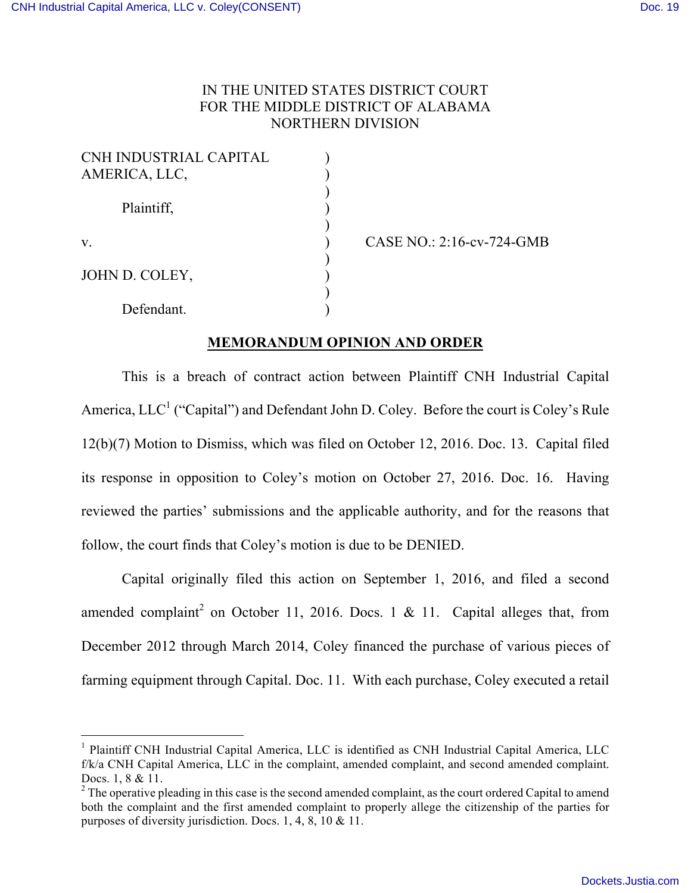## IN THE UNITED STATES DISTRICT COURT FOR THE MIDDLE DISTRICT OF ALABAMA NORTHERN DIVISION

| CNH INDUSTRIAL CAPITAL |  |
|------------------------|--|
| AMERICA, LLC,          |  |
| Plaintiff,             |  |
| V.                     |  |
| JOHN D. COLEY,         |  |
| Defendant.             |  |

v. ) CASE NO.: 2:16-cv-724-GMB

## **MEMORANDUM OPINION AND ORDER**

This is a breach of contract action between Plaintiff CNH Industrial Capital America,  $LLC<sup>1</sup>$  ("Capital") and Defendant John D. Coley. Before the court is Coley's Rule 12(b)(7) Motion to Dismiss, which was filed on October 12, 2016. Doc. 13. Capital filed its response in opposition to Coley's motion on October 27, 2016. Doc. 16. Having reviewed the parties' submissions and the applicable authority, and for the reasons that follow, the court finds that Coley's motion is due to be DENIED.

Capital originally filed this action on September 1, 2016, and filed a second amended complaint<sup>2</sup> on October 11, 2016. Docs. 1 & 11. Capital alleges that, from December 2012 through March 2014, Coley financed the purchase of various pieces of farming equipment through Capital. Doc. 11. With each purchase, Coley executed a retail

<sup>&</sup>lt;sup>1</sup> Plaintiff CNH Industrial Capital America, LLC is identified as CNH Industrial Capital America, LLC f/k/a CNH Capital America, LLC in the complaint, amended complaint, and second amended complaint. Docs. 1, 8 & 11.<br><sup>2</sup> The operative pleading in this case is the second amended complaint, as the court ordered Capital to amend

both the complaint and the first amended complaint to properly allege the citizenship of the parties for purposes of diversity jurisdiction. Docs. 1, 4, 8, 10 & 11.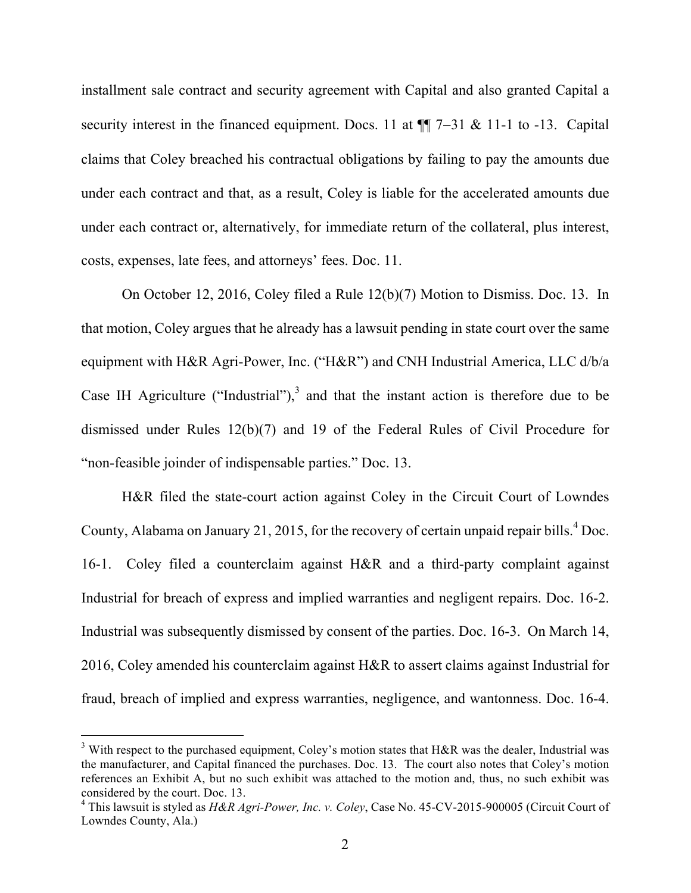installment sale contract and security agreement with Capital and also granted Capital a security interest in the financed equipment. Docs. 11 at  $\P$   $7-31$  & 11-1 to -13. Capital claims that Coley breached his contractual obligations by failing to pay the amounts due under each contract and that, as a result, Coley is liable for the accelerated amounts due under each contract or, alternatively, for immediate return of the collateral, plus interest, costs, expenses, late fees, and attorneys' fees. Doc. 11.

On October 12, 2016, Coley filed a Rule 12(b)(7) Motion to Dismiss. Doc. 13. In that motion, Coley argues that he already has a lawsuit pending in state court over the same equipment with H&R Agri-Power, Inc. ("H&R") and CNH Industrial America, LLC d/b/a Case IH Agriculture ("Industrial"), $3$  and that the instant action is therefore due to be dismissed under Rules 12(b)(7) and 19 of the Federal Rules of Civil Procedure for "non-feasible joinder of indispensable parties." Doc. 13.

H&R filed the state-court action against Coley in the Circuit Court of Lowndes County, Alabama on January 21, 2015, for the recovery of certain unpaid repair bills.<sup>4</sup> Doc. 16-1. Coley filed a counterclaim against H&R and a third-party complaint against Industrial for breach of express and implied warranties and negligent repairs. Doc. 16-2. Industrial was subsequently dismissed by consent of the parties. Doc. 16-3. On March 14, 2016, Coley amended his counterclaim against H&R to assert claims against Industrial for fraud, breach of implied and express warranties, negligence, and wantonness. Doc. 16-4.

 $3$  With respect to the purchased equipment, Coley's motion states that H&R was the dealer, Industrial was the manufacturer, and Capital financed the purchases. Doc. 13. The court also notes that Coley's motion references an Exhibit A, but no such exhibit was attached to the motion and, thus, no such exhibit was considered by the court. Doc. 13.

<sup>4</sup> This lawsuit is styled as *H&R Agri-Power, Inc. v. Coley*, Case No. 45-CV-2015-900005 (Circuit Court of Lowndes County, Ala.)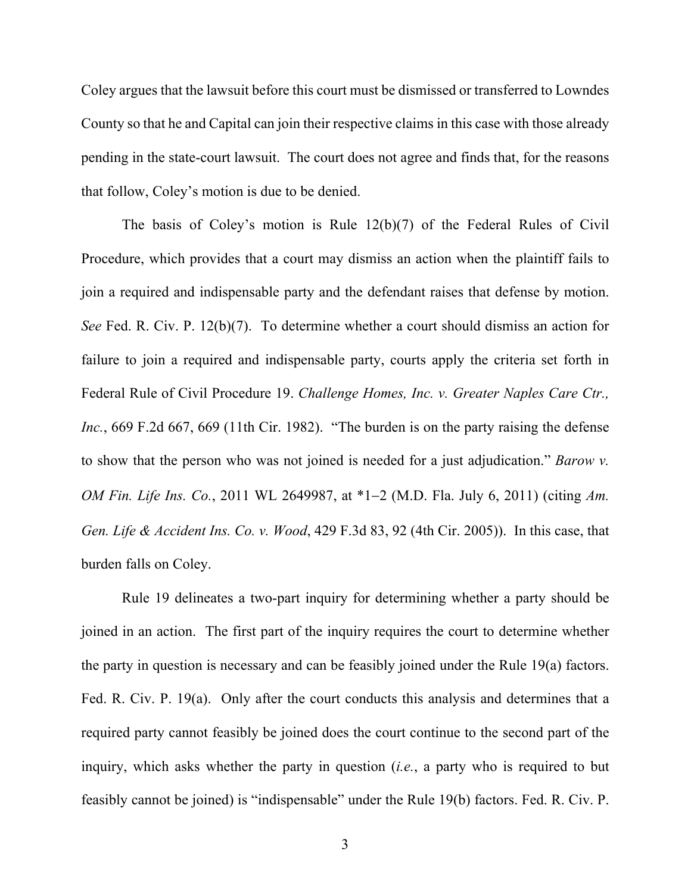Coley argues that the lawsuit before this court must be dismissed or transferred to Lowndes County so that he and Capital can join their respective claims in this case with those already pending in the state-court lawsuit. The court does not agree and finds that, for the reasons that follow, Coley's motion is due to be denied.

The basis of Coley's motion is Rule 12(b)(7) of the Federal Rules of Civil Procedure, which provides that a court may dismiss an action when the plaintiff fails to join a required and indispensable party and the defendant raises that defense by motion. *See* Fed. R. Civ. P. 12(b)(7). To determine whether a court should dismiss an action for failure to join a required and indispensable party, courts apply the criteria set forth in Federal Rule of Civil Procedure 19. *Challenge Homes, Inc. v. Greater Naples Care Ctr., Inc.*, 669 F.2d 667, 669 (11th Cir. 1982). "The burden is on the party raising the defense to show that the person who was not joined is needed for a just adjudication." *Barow v. OM Fin. Life Ins. Co.*, 2011 WL 2649987, at \*1–2 (M.D. Fla. July 6, 2011) (citing Am. *Gen. Life & Accident Ins. Co. v. Wood*, 429 F.3d 83, 92 (4th Cir. 2005)). In this case, that burden falls on Coley.

Rule 19 delineates a two-part inquiry for determining whether a party should be joined in an action. The first part of the inquiry requires the court to determine whether the party in question is necessary and can be feasibly joined under the Rule 19(a) factors. Fed. R. Civ. P. 19(a). Only after the court conducts this analysis and determines that a required party cannot feasibly be joined does the court continue to the second part of the inquiry, which asks whether the party in question (*i.e.*, a party who is required to but feasibly cannot be joined) is "indispensable" under the Rule 19(b) factors. Fed. R. Civ. P.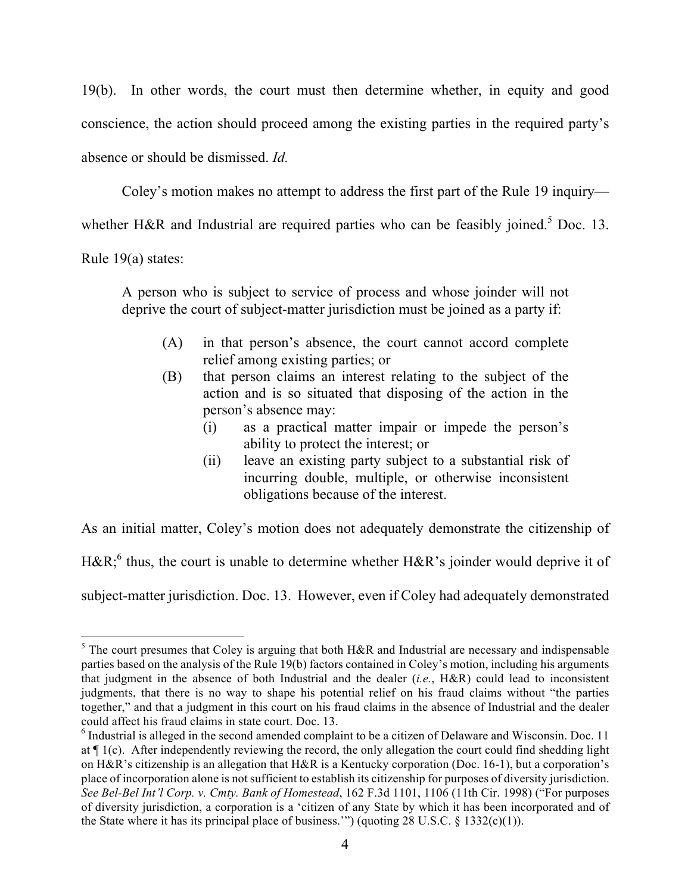19(b). In other words, the court must then determine whether, in equity and good conscience, the action should proceed among the existing parties in the required party's absence or should be dismissed. *Id.* 

Coley's motion makes no attempt to address the first part of the Rule 19 inquiry whether H&R and Industrial are required parties who can be feasibly joined.<sup>5</sup> Doc. 13.

Rule 19(a) states:

A person who is subject to service of process and whose joinder will not deprive the court of subject-matter jurisdiction must be joined as a party if:

- (A) in that person's absence, the court cannot accord complete relief among existing parties; or
- (B) that person claims an interest relating to the subject of the action and is so situated that disposing of the action in the person's absence may:
	- (i) as a practical matter impair or impede the person's ability to protect the interest; or
	- (ii) leave an existing party subject to a substantial risk of incurring double, multiple, or otherwise inconsistent obligations because of the interest.

As an initial matter, Coley's motion does not adequately demonstrate the citizenship of

H&R;<sup>6</sup> thus, the court is unable to determine whether H&R's joinder would deprive it of

subject-matter jurisdiction. Doc. 13. However, even if Coley had adequately demonstrated

 $<sup>5</sup>$  The court presumes that Coley is arguing that both H&R and Industrial are necessary and indispensable</sup> parties based on the analysis of the Rule 19(b) factors contained in Coley's motion, including his arguments that judgment in the absence of both Industrial and the dealer (*i.e.*, H&R) could lead to inconsistent judgments, that there is no way to shape his potential relief on his fraud claims without "the parties together," and that a judgment in this court on his fraud claims in the absence of Industrial and the dealer could affect his fraud claims in state court. Doc. 13.

<sup>6</sup> Industrial is alleged in the second amended complaint to be a citizen of Delaware and Wisconsin. Doc. 11 at ¶ 1(c). After independently reviewing the record, the only allegation the court could find shedding light on H&R's citizenship is an allegation that H&R is a Kentucky corporation (Doc. 16-1), but a corporation's place of incorporation alone is not sufficient to establish its citizenship for purposes of diversity jurisdiction. *See Bel-Bel Int'l Corp. v. Cmty. Bank of Homestead*, 162 F.3d 1101, 1106 (11th Cir. 1998) ("For purposes of diversity jurisdiction, a corporation is a 'citizen of any State by which it has been incorporated and of the State where it has its principal place of business."") (quoting  $28 \text{ U.S.C. }$  §  $1332(c)(1)$ ).